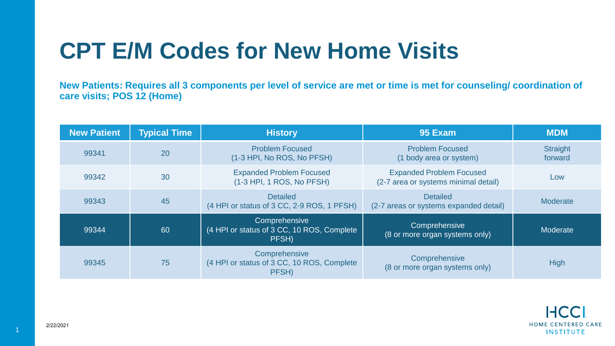## **CPT E/M Codes for New Home Visits**

**New Patients: Requires all 3 components per level of service are met or time is met for counseling/ coordination of care visits; POS 12 (Home)**

| <b>New Patient</b> | <b>Typical Time</b> | <b>History</b>                                                       | 95 Exam                                                                 | <b>MDM</b>          |
|--------------------|---------------------|----------------------------------------------------------------------|-------------------------------------------------------------------------|---------------------|
| 99341              | 20                  | <b>Problem Focused</b><br>(1-3 HPI, No ROS, No PFSH)                 | <b>Problem Focused</b><br>(1 body area or system)                       | Straight<br>forward |
| 99342              | 30                  | <b>Expanded Problem Focused</b><br>(1-3 HPI, 1 ROS, No PFSH)         | <b>Expanded Problem Focused</b><br>(2-7 area or systems minimal detail) | Low                 |
| 99343              | 45                  | <b>Detailed</b><br>(4 HPI or status of 3 CC, 2-9 ROS, 1 PFSH)        | <b>Detailed</b><br>(2-7 areas or systems expanded detail)               | Moderate            |
| 99344              | 60                  | Comprehensive<br>(4 HPI or status of 3 CC, 10 ROS, Complete<br>PFSH) | Comprehensive<br>(8 or more organ systems only)                         | Moderate            |
| 99345              | 75                  | Comprehensive<br>(4 HPI or status of 3 CC, 10 ROS, Complete<br>PFSH) | Comprehensive<br>(8 or more organ systems only)                         | <b>High</b>         |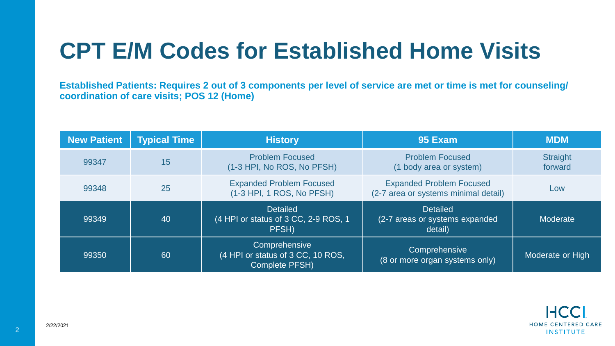## **CPT E/M Codes for Established Home Visits**

**Established Patients: Requires 2 out of 3 components per level of service are met or time is met for counseling/ coordination of care visits; POS 12 (Home)**

| <b>New Patient</b> | <b>Typical Time</b> | <b>History</b>                                                              | 95 Exam                                                                 | <b>MDM</b>          |
|--------------------|---------------------|-----------------------------------------------------------------------------|-------------------------------------------------------------------------|---------------------|
| 99347              | 15                  | <b>Problem Focused</b><br>(1-3 HPI, No ROS, No PFSH)                        | <b>Problem Focused</b><br>(1 body area or system)                       | Straight<br>forward |
| 99348              | 25                  | <b>Expanded Problem Focused</b><br>(1-3 HPI, 1 ROS, No PFSH)                | <b>Expanded Problem Focused</b><br>(2-7 area or systems minimal detail) | Low                 |
| 99349              | 40                  | <b>Detailed</b><br>(4 HPI or status of 3 CC, 2-9 ROS, 1<br>PFSH)            | <b>Detailed</b><br>(2-7 areas or systems expanded<br>detail)            | Moderate            |
| 99350              | 60                  | Comprehensive<br>(4 HPI or status of 3 CC, 10 ROS,<br><b>Complete PFSH)</b> | Comprehensive<br>(8 or more organ systems only)                         | Moderate or High    |



2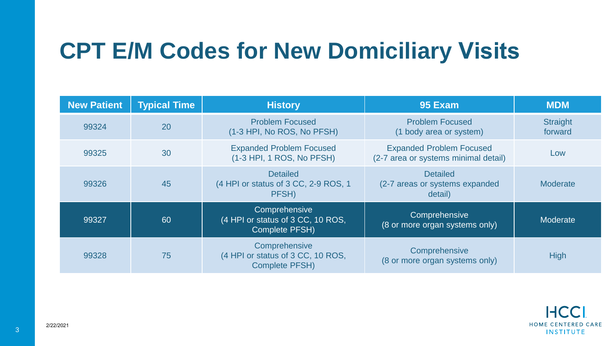## **CPT E/M Codes for New Domiciliary Visits**

| <b>New Patient</b> | <b>Typical Time</b> | <b>History</b>                                                              | 95 Exam                                                                 | <b>MDM</b>                 |
|--------------------|---------------------|-----------------------------------------------------------------------------|-------------------------------------------------------------------------|----------------------------|
| 99324              | 20                  | <b>Problem Focused</b><br>(1-3 HPI, No ROS, No PFSH)                        | <b>Problem Focused</b><br>(1 body area or system)                       | <b>Straight</b><br>forward |
| 99325              | 30                  | <b>Expanded Problem Focused</b><br>(1-3 HPI, 1 ROS, No PFSH)                | <b>Expanded Problem Focused</b><br>(2-7 area or systems minimal detail) | Low                        |
| 99326              | 45                  | <b>Detailed</b><br>(4 HPI or status of 3 CC, 2-9 ROS, 1<br>PFSH)            | <b>Detailed</b><br>(2-7 areas or systems expanded<br>detail)            | <b>Moderate</b>            |
| 99327              | 60                  | Comprehensive<br>(4 HPI or status of 3 CC, 10 ROS,<br>Complete PFSH)        | Comprehensive<br>(8 or more organ systems only)                         | Moderate                   |
| 99328              | 75                  | Comprehensive<br>(4 HPI or status of 3 CC, 10 ROS,<br><b>Complete PFSH)</b> | Comprehensive<br>(8 or more organ systems only)                         | <b>High</b>                |

3